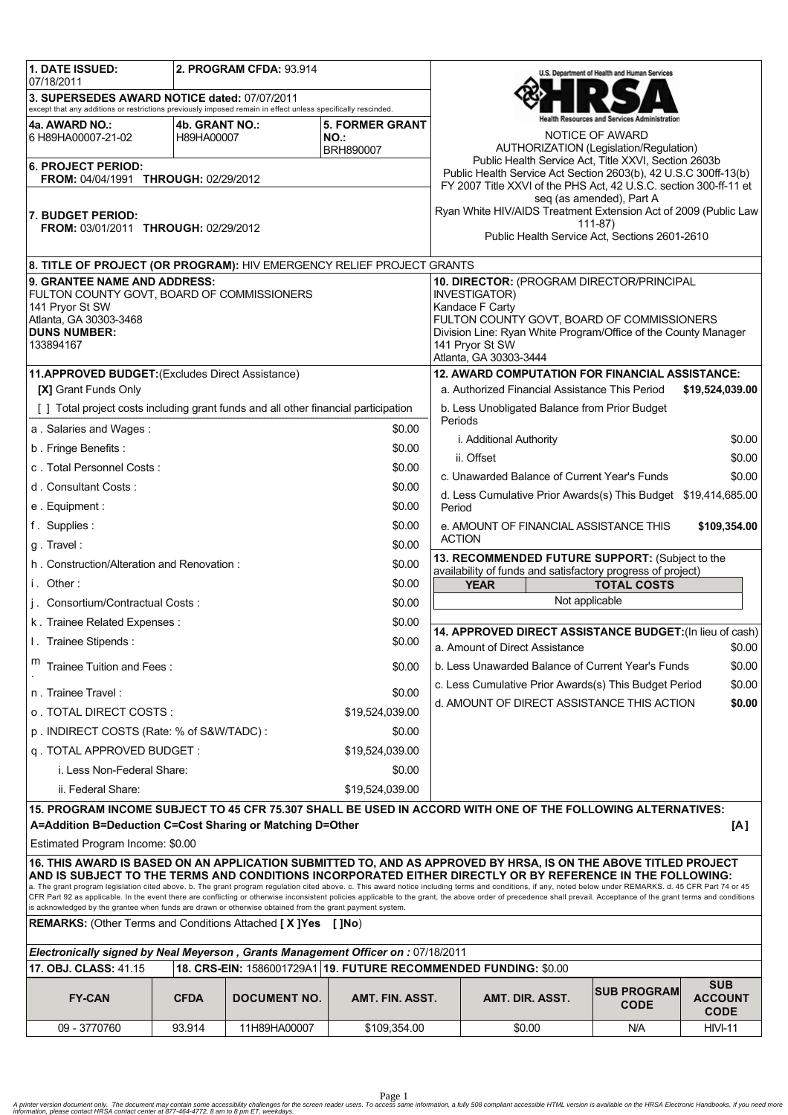| <b>1. DATE ISSUED:</b>                                                                                                                                                                                                                                                                                                                                                                                                                                                                                                                        |                              | 2. PROGRAM CFDA: 93.914 |                                |                                                                                                                                                     |                                                                                                                                 | U.S. Department of Health and Human Services |                                             |  |  |
|-----------------------------------------------------------------------------------------------------------------------------------------------------------------------------------------------------------------------------------------------------------------------------------------------------------------------------------------------------------------------------------------------------------------------------------------------------------------------------------------------------------------------------------------------|------------------------------|-------------------------|--------------------------------|-----------------------------------------------------------------------------------------------------------------------------------------------------|---------------------------------------------------------------------------------------------------------------------------------|----------------------------------------------|---------------------------------------------|--|--|
| 07/18/2011<br>3. SUPERSEDES AWARD NOTICE dated: 07/07/2011                                                                                                                                                                                                                                                                                                                                                                                                                                                                                    |                              |                         |                                |                                                                                                                                                     | alth Resources and Services Administration                                                                                      |                                              |                                             |  |  |
| except that any additions or restrictions previously imposed remain in effect unless specifically rescinded.                                                                                                                                                                                                                                                                                                                                                                                                                                  |                              |                         |                                |                                                                                                                                                     |                                                                                                                                 |                                              |                                             |  |  |
| 4a. AWARD NO.:<br>6 H89HA00007-21-02                                                                                                                                                                                                                                                                                                                                                                                                                                                                                                          | 4b. GRANT NO.:<br>H89HA00007 |                         | <b>5. FORMER GRANT</b><br>NO.: |                                                                                                                                                     |                                                                                                                                 | NOTICE OF AWARD                              |                                             |  |  |
|                                                                                                                                                                                                                                                                                                                                                                                                                                                                                                                                               |                              |                         | BRH890007                      |                                                                                                                                                     | AUTHORIZATION (Legislation/Regulation)                                                                                          |                                              |                                             |  |  |
| <b>6. PROJECT PERIOD:</b>                                                                                                                                                                                                                                                                                                                                                                                                                                                                                                                     |                              |                         |                                | Public Health Service Act, Title XXVI, Section 2603b<br>Public Health Service Act Section 2603(b), 42 U.S.C 300ff-13(b)                             |                                                                                                                                 |                                              |                                             |  |  |
| <b>FROM: 04/04/1991 THROUGH: 02/29/2012</b>                                                                                                                                                                                                                                                                                                                                                                                                                                                                                                   |                              |                         |                                |                                                                                                                                                     | FY 2007 Title XXVI of the PHS Act, 42 U.S.C. section 300-ff-11 et                                                               |                                              |                                             |  |  |
|                                                                                                                                                                                                                                                                                                                                                                                                                                                                                                                                               |                              |                         |                                |                                                                                                                                                     | seq (as amended), Part A<br>Ryan White HIV/AIDS Treatment Extension Act of 2009 (Public Law                                     |                                              |                                             |  |  |
| 7. BUDGET PERIOD:<br><b>FROM: 03/01/2011 THROUGH: 02/29/2012</b>                                                                                                                                                                                                                                                                                                                                                                                                                                                                              |                              |                         |                                |                                                                                                                                                     | $111-87$<br>Public Health Service Act, Sections 2601-2610                                                                       |                                              |                                             |  |  |
|                                                                                                                                                                                                                                                                                                                                                                                                                                                                                                                                               |                              |                         |                                |                                                                                                                                                     |                                                                                                                                 |                                              |                                             |  |  |
| 8. TITLE OF PROJECT (OR PROGRAM): HIV EMERGENCY RELIEF PROJECT GRANTS                                                                                                                                                                                                                                                                                                                                                                                                                                                                         |                              |                         |                                |                                                                                                                                                     |                                                                                                                                 |                                              |                                             |  |  |
| <b>9. GRANTEE NAME AND ADDRESS:</b>                                                                                                                                                                                                                                                                                                                                                                                                                                                                                                           |                              |                         |                                |                                                                                                                                                     | 10. DIRECTOR: (PROGRAM DIRECTOR/PRINCIPAL                                                                                       |                                              |                                             |  |  |
| FULTON COUNTY GOVT, BOARD OF COMMISSIONERS<br>141 Pryor St SW                                                                                                                                                                                                                                                                                                                                                                                                                                                                                 |                              |                         |                                |                                                                                                                                                     | <b>INVESTIGATOR)</b><br>Kandace F Carty                                                                                         |                                              |                                             |  |  |
| Atlanta, GA 30303-3468                                                                                                                                                                                                                                                                                                                                                                                                                                                                                                                        |                              |                         |                                |                                                                                                                                                     | FULTON COUNTY GOVT, BOARD OF COMMISSIONERS<br>Division Line: Ryan White Program/Office of the County Manager<br>141 Pryor St SW |                                              |                                             |  |  |
| <b>DUNS NUMBER:</b>                                                                                                                                                                                                                                                                                                                                                                                                                                                                                                                           |                              |                         |                                |                                                                                                                                                     |                                                                                                                                 |                                              |                                             |  |  |
| 133894167                                                                                                                                                                                                                                                                                                                                                                                                                                                                                                                                     |                              |                         |                                |                                                                                                                                                     | Atlanta, GA 30303-3444                                                                                                          |                                              |                                             |  |  |
| 11.APPROVED BUDGET: (Excludes Direct Assistance)                                                                                                                                                                                                                                                                                                                                                                                                                                                                                              |                              |                         |                                |                                                                                                                                                     | <b>12. AWARD COMPUTATION FOR FINANCIAL ASSISTANCE:</b>                                                                          |                                              |                                             |  |  |
| <b>[X] Grant Funds Only</b>                                                                                                                                                                                                                                                                                                                                                                                                                                                                                                                   |                              |                         |                                |                                                                                                                                                     | a. Authorized Financial Assistance This Period                                                                                  |                                              | \$19,524,039.00                             |  |  |
| [] Total project costs including grant funds and all other financial participation                                                                                                                                                                                                                                                                                                                                                                                                                                                            |                              |                         |                                |                                                                                                                                                     | b. Less Unobligated Balance from Prior Budget<br>Periods                                                                        |                                              |                                             |  |  |
| a. Salaries and Wages:                                                                                                                                                                                                                                                                                                                                                                                                                                                                                                                        |                              |                         | \$0.00                         |                                                                                                                                                     | i. Additional Authority                                                                                                         |                                              | \$0.00                                      |  |  |
| b. Fringe Benefits:                                                                                                                                                                                                                                                                                                                                                                                                                                                                                                                           |                              |                         | \$0.00                         |                                                                                                                                                     | ii. Offset                                                                                                                      |                                              | \$0.00                                      |  |  |
| c. Total Personnel Costs:                                                                                                                                                                                                                                                                                                                                                                                                                                                                                                                     |                              |                         | \$0.00                         |                                                                                                                                                     | c. Unawarded Balance of Current Year's Funds                                                                                    |                                              | \$0.00                                      |  |  |
| d. Consultant Costs:                                                                                                                                                                                                                                                                                                                                                                                                                                                                                                                          |                              |                         | \$0.00                         |                                                                                                                                                     | d. Less Cumulative Prior Awards(s) This Budget \$19,414,685.00                                                                  |                                              |                                             |  |  |
| e. Equipment:                                                                                                                                                                                                                                                                                                                                                                                                                                                                                                                                 |                              |                         | \$0.00                         | Period                                                                                                                                              |                                                                                                                                 |                                              |                                             |  |  |
| f. Supplies:                                                                                                                                                                                                                                                                                                                                                                                                                                                                                                                                  |                              |                         | \$0.00                         |                                                                                                                                                     | e. AMOUNT OF FINANCIAL ASSISTANCE THIS                                                                                          |                                              | \$109,354.00                                |  |  |
| g. Travel:                                                                                                                                                                                                                                                                                                                                                                                                                                                                                                                                    |                              |                         | \$0.00                         |                                                                                                                                                     | <b>ACTION</b>                                                                                                                   |                                              |                                             |  |  |
| \$0.00<br>h. Construction/Alteration and Renovation:                                                                                                                                                                                                                                                                                                                                                                                                                                                                                          |                              |                         |                                | 13. RECOMMENDED FUTURE SUPPORT: (Subject to the<br>availability of funds and satisfactory progress of project)<br><b>YEAR</b><br><b>TOTAL COSTS</b> |                                                                                                                                 |                                              |                                             |  |  |
| i. Other:<br>\$0.00                                                                                                                                                                                                                                                                                                                                                                                                                                                                                                                           |                              |                         |                                |                                                                                                                                                     |                                                                                                                                 |                                              |                                             |  |  |
| j. Consortium/Contractual Costs:                                                                                                                                                                                                                                                                                                                                                                                                                                                                                                              |                              |                         | \$0.00                         |                                                                                                                                                     | Not applicable                                                                                                                  |                                              |                                             |  |  |
| \$0.00<br>k. Trainee Related Expenses:                                                                                                                                                                                                                                                                                                                                                                                                                                                                                                        |                              |                         |                                |                                                                                                                                                     |                                                                                                                                 |                                              |                                             |  |  |
| \$0.00<br>I. Trainee Stipends:                                                                                                                                                                                                                                                                                                                                                                                                                                                                                                                |                              |                         |                                |                                                                                                                                                     | 14. APPROVED DIRECT ASSISTANCE BUDGET: (In lieu of cash)<br>a. Amount of Direct Assistance<br>\$0.00                            |                                              |                                             |  |  |
| m<br>Trainee Tuition and Fees:<br>\$0.00                                                                                                                                                                                                                                                                                                                                                                                                                                                                                                      |                              |                         |                                | b. Less Unawarded Balance of Current Year's Funds<br>\$0.00                                                                                         |                                                                                                                                 |                                              |                                             |  |  |
| n. Trainee Travel:                                                                                                                                                                                                                                                                                                                                                                                                                                                                                                                            |                              |                         | \$0.00                         |                                                                                                                                                     | c. Less Cumulative Prior Awards(s) This Budget Period                                                                           |                                              | \$0.00                                      |  |  |
| o TOTAL DIRECT COSTS :<br>\$19,524,039.00                                                                                                                                                                                                                                                                                                                                                                                                                                                                                                     |                              |                         |                                | d. AMOUNT OF DIRECT ASSISTANCE THIS ACTION<br>\$0.00                                                                                                |                                                                                                                                 |                                              |                                             |  |  |
| p. INDIRECT COSTS (Rate: % of S&W/TADC):<br>\$0.00                                                                                                                                                                                                                                                                                                                                                                                                                                                                                            |                              |                         |                                |                                                                                                                                                     |                                                                                                                                 |                                              |                                             |  |  |
| q. TOTAL APPROVED BUDGET:<br>\$19,524,039.00                                                                                                                                                                                                                                                                                                                                                                                                                                                                                                  |                              |                         |                                |                                                                                                                                                     |                                                                                                                                 |                                              |                                             |  |  |
| i. Less Non-Federal Share:                                                                                                                                                                                                                                                                                                                                                                                                                                                                                                                    |                              |                         | \$0.00                         |                                                                                                                                                     |                                                                                                                                 |                                              |                                             |  |  |
| ii. Federal Share:                                                                                                                                                                                                                                                                                                                                                                                                                                                                                                                            |                              |                         | \$19,524,039.00                |                                                                                                                                                     |                                                                                                                                 |                                              |                                             |  |  |
| 15. PROGRAM INCOME SUBJECT TO 45 CFR 75.307 SHALL BE USED IN ACCORD WITH ONE OF THE FOLLOWING ALTERNATIVES:                                                                                                                                                                                                                                                                                                                                                                                                                                   |                              |                         |                                |                                                                                                                                                     |                                                                                                                                 |                                              |                                             |  |  |
| A=Addition B=Deduction C=Cost Sharing or Matching D=Other<br>[A]                                                                                                                                                                                                                                                                                                                                                                                                                                                                              |                              |                         |                                |                                                                                                                                                     |                                                                                                                                 |                                              |                                             |  |  |
| Estimated Program Income: \$0.00                                                                                                                                                                                                                                                                                                                                                                                                                                                                                                              |                              |                         |                                |                                                                                                                                                     |                                                                                                                                 |                                              |                                             |  |  |
| 16. THIS AWARD IS BASED ON AN APPLICATION SUBMITTED TO, AND AS APPROVED BY HRSA, IS ON THE ABOVE TITLED PROJECT<br>AND IS SUBJECT TO THE TERMS AND CONDITIONS INCORPORATED EITHER DIRECTLY OR BY REFERENCE IN THE FOLLOWING:                                                                                                                                                                                                                                                                                                                  |                              |                         |                                |                                                                                                                                                     |                                                                                                                                 |                                              |                                             |  |  |
| a. The grant program legislation cited above. b. The grant program regulation cited above. c. This award notice including terms and conditions, if any, noted below under REMARKS. d. 45 CFR Part 74 or 45<br>CFR Part 92 as applicable. In the event there are conflicting or otherwise inconsistent policies applicable to the grant, the above order of precedence shall prevail. Acceptance of the grant terms and conditions<br>is acknowledged by the grantee when funds are drawn or otherwise obtained from the grant payment system. |                              |                         |                                |                                                                                                                                                     |                                                                                                                                 |                                              |                                             |  |  |
| <b>REMARKS:</b> (Other Terms and Conditions Attached [X]Yes [JNo)                                                                                                                                                                                                                                                                                                                                                                                                                                                                             |                              |                         |                                |                                                                                                                                                     |                                                                                                                                 |                                              |                                             |  |  |
| Electronically signed by Neal Meyerson, Grants Management Officer on : 07/18/2011                                                                                                                                                                                                                                                                                                                                                                                                                                                             |                              |                         |                                |                                                                                                                                                     |                                                                                                                                 |                                              |                                             |  |  |
| 18. CRS-EIN: 1586001729A1 19. FUTURE RECOMMENDED FUNDING: \$0.00<br>17. OBJ. CLASS: 41.15                                                                                                                                                                                                                                                                                                                                                                                                                                                     |                              |                         |                                |                                                                                                                                                     |                                                                                                                                 |                                              |                                             |  |  |
| <b>FY-CAN</b>                                                                                                                                                                                                                                                                                                                                                                                                                                                                                                                                 | <b>CFDA</b>                  | <b>DOCUMENT NO.</b>     | AMT. FIN. ASST.                |                                                                                                                                                     | AMT. DIR. ASST.                                                                                                                 | <b>SUB PROGRAM</b><br><b>CODE</b>            | <b>SUB</b><br><b>ACCOUNT</b><br><b>CODE</b> |  |  |
| 09 - 3770760                                                                                                                                                                                                                                                                                                                                                                                                                                                                                                                                  | 93.914                       | 11H89HA00007            | \$109,354.00                   |                                                                                                                                                     | \$0.00                                                                                                                          | N/A                                          | <b>HIVI-11</b>                              |  |  |